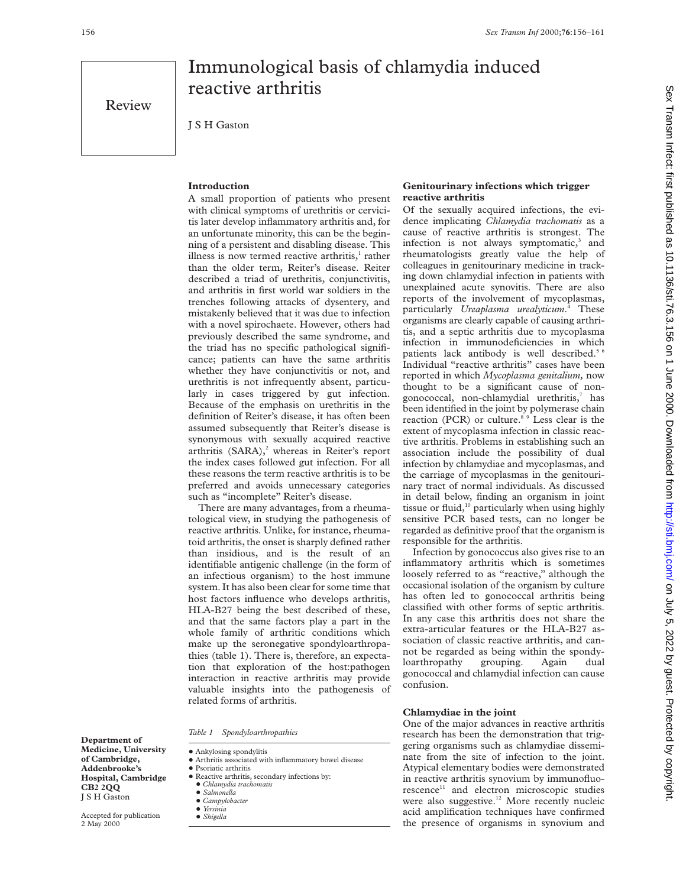Review

# Immunological basis of chlamydia induced reactive arthritis

J S H Gaston

### **Introduction**

A small proportion of patients who present with clinical symptoms of urethritis or cervicitis later develop inflammatory arthritis and, for an unfortunate minority, this can be the beginning of a persistent and disabling disease. This illness is now termed reactive arthritis, $<sup>1</sup>$  rather</sup> than the older term, Reiter's disease. Reiter described a triad of urethritis, conjunctivitis, and arthritis in first world war soldiers in the trenches following attacks of dysentery, and mistakenly believed that it was due to infection with a novel spirochaete. However, others had previously described the same syndrome, and the triad has no specific pathological significance; patients can have the same arthritis whether they have conjunctivitis or not, and urethritis is not infrequently absent, particularly in cases triggered by gut infection. Because of the emphasis on urethritis in the definition of Reiter's disease, it has often been assumed subsequently that Reiter's disease is synonymous with sexually acquired reactive arthritis  $(SARA)<sub>2</sub>$ <sup>2</sup> whereas in Reiter's report the index cases followed gut infection. For all these reasons the term reactive arthritis is to be preferred and avoids unnecessary categories such as "incomplete" Reiter's disease.

There are many advantages, from a rheumatological view, in studying the pathogenesis of reactive arthritis. Unlike, for instance, rheumatoid arthritis, the onset is sharply defined rather than insidious, and is the result of an identifiable antigenic challenge (in the form of an infectious organism) to the host immune system. It has also been clear for some time that host factors influence who develops arthritis, HLA-B27 being the best described of these, and that the same factors play a part in the whole family of arthritic conditions which make up the seronegative spondyloarthropathies (table 1). There is, therefore, an expectation that exploration of the host:pathogen interaction in reactive arthritis may provide valuable insights into the pathogenesis of related forms of arthritis.

*Table 1 Spondyloarthropathies*

- Ankylosing spondylitis
- + Arthritis associated with inflammatory bowel disease
- + Psoriatic arthritis
- $\bullet$  Reactive arthritis, secondary infections by: + *Chlamydia trachomatis*
	- + *Salmonella*
- + *Campylobacter*
- + *Yersinia*
- + *Shigella*

**Department of Medicine, University of Cambridge, Addenbrooke's Hospital, Cambridge**

Accepted for publication 2 May 2000

**CB2 2QQ** J S H Gaston

#### **Genitourinary infections which trigger reactive arthritis**

Of the sexually acquired infections, the evidence implicating *Chlamydia trachomatis* as a cause of reactive arthritis is strongest. The infection is not always symptomatic,<sup>3</sup> and rheumatologists greatly value the help of colleagues in genitourinary medicine in tracking down chlamydial infection in patients with unexplained acute synovitis. There are also reports of the involvement of mycoplasmas, particularly *Ureaplasma urealyticum*. <sup>4</sup> These organisms are clearly capable of causing arthritis, and a septic arthritis due to mycoplasma infection in immunodeficiencies in which patients lack antibody is well described.<sup>5 6</sup> Individual "reactive arthritis" cases have been reported in which *Mycoplasma genitalium,* now thought to be a significant cause of nongonococcal, non-chlamydial urethritis, $<sup>7</sup>$  has</sup> been identified in the joint by polymerase chain reaction (PCR) or culture.<sup>8 9</sup> Less clear is the extent of mycoplasma infection in classic reactive arthritis. Problems in establishing such an association include the possibility of dual infection by chlamydiae and mycoplasmas, and the carriage of mycoplasmas in the genitourinary tract of normal individuals. As discussed in detail below, finding an organism in joint tissue or fluid,<sup>10</sup> particularly when using highly sensitive PCR based tests, can no longer be regarded as definitive proof that the organism is responsible for the arthritis.

Infection by gonococcus also gives rise to an inflammatory arthritis which is sometimes loosely referred to as "reactive," although the occasional isolation of the organism by culture has often led to gonococcal arthritis being classified with other forms of septic arthritis. In any case this arthritis does not share the extra-articular features or the HLA-B27 association of classic reactive arthritis, and cannot be regarded as being within the spondyloarthropathy grouping. Again dual gonococcal and chlamydial infection can cause confusion.

### **Chlamydiae in the joint**

One of the major advances in reactive arthritis research has been the demonstration that triggering organisms such as chlamydiae disseminate from the site of infection to the joint. Atypical elementary bodies were demonstrated in reactive arthritis synovium by immunofluorescence<sup>11</sup> and electron microscopic studies were also suggestive.<sup>12</sup> More recently nucleic acid amplification techniques have confirmed the presence of organisms in synovium and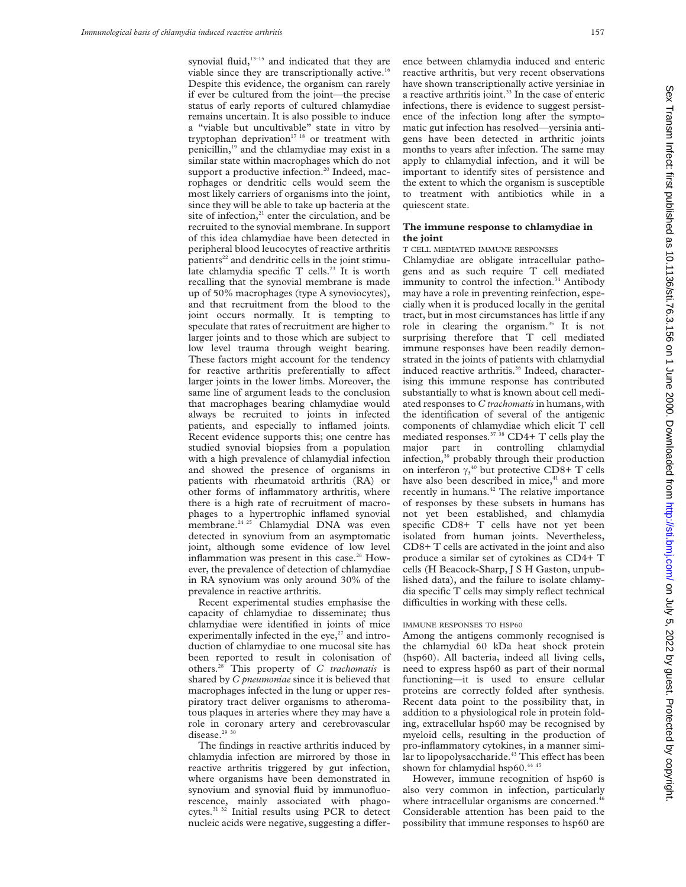synovial fluid, $13-15$  and indicated that they are viable since they are transcriptionally active.<sup>16</sup> Despite this evidence, the organism can rarely if ever be cultured from the joint—the precise status of early reports of cultured chlamydiae remains uncertain. It is also possible to induce a "viable but uncultivable" state in vitro by tryptophan deprivation<sup>17</sup> <sup>18</sup> or treatment with penicillin,19 and the chlamydiae may exist in a similar state within macrophages which do not support a productive infection.<sup>20</sup> Indeed, macrophages or dendritic cells would seem the most likely carriers of organisms into the joint, since they will be able to take up bacteria at the site of infection, $2<sup>1</sup>$  enter the circulation, and be recruited to the synovial membrane. In support of this idea chlamydiae have been detected in peripheral blood leucocytes of reactive arthritis patients<sup>22</sup> and dendritic cells in the joint stimulate chlamydia specific T cells.<sup>23</sup> It is worth recalling that the synovial membrane is made up of 50% macrophages (type A synoviocytes), and that recruitment from the blood to the joint occurs normally. It is tempting to speculate that rates of recruitment are higher to larger joints and to those which are subject to low level trauma through weight bearing. These factors might account for the tendency for reactive arthritis preferentially to affect larger joints in the lower limbs. Moreover, the same line of argument leads to the conclusion that macrophages bearing chlamydiae would always be recruited to joints in infected patients, and especially to inflamed joints. Recent evidence supports this; one centre has studied synovial biopsies from a population with a high prevalence of chlamydial infection and showed the presence of organisms in patients with rheumatoid arthritis (RA) or other forms of inflammatory arthritis, where there is a high rate of recruitment of macrophages to a hypertrophic inflamed synovial membrane.<sup>24 25</sup> Chlamydial DNA was even detected in synovium from an asymptomatic joint, although some evidence of low level inflammation was present in this case.<sup>26</sup> However, the prevalence of detection of chlamydiae in RA synovium was only around 30% of the prevalence in reactive arthritis.

Recent experimental studies emphasise the capacity of chlamydiae to disseminate; thus chlamydiae were identified in joints of mice experimentally infected in the eye, $27$  and introduction of chlamydiae to one mucosal site has been reported to result in colonisation of others.28 This property of *C trachomatis* is shared by *C pneumoniae* since it is believed that macrophages infected in the lung or upper respiratory tract deliver organisms to atheromatous plaques in arteries where they may have a role in coronary artery and cerebrovascular disease.<sup>29</sup>

The findings in reactive arthritis induced by chlamydia infection are mirrored by those in reactive arthritis triggered by gut infection, where organisms have been demonstrated in synovium and synovial fluid by immunofluorescence, mainly associated with phagocytes.<sup>31 32</sup> Initial results using PCR to detect nucleic acids were negative, suggesting a differ-

ence between chlamydia induced and enteric reactive arthritis, but very recent observations have shown transcriptionally active yersiniae in a reactive arthritis joint.<sup>33</sup> In the case of enteric infections, there is evidence to suggest persistence of the infection long after the symptomatic gut infection has resolved—yersinia antigens have been detected in arthritic joints months to years after infection. The same may apply to chlamydial infection, and it will be important to identify sites of persistence and the extent to which the organism is susceptible to treatment with antibiotics while in a quiescent state.

### **The immune response to chlamydiae in the joint**

# T CELL MEDIATED IMMUNE RESPONSES

Chlamydiae are obligate intracellular pathogens and as such require T cell mediated immunity to control the infection.<sup>34</sup> Antibody may have a role in preventing reinfection, especially when it is produced locally in the genital tract, but in most circumstances has little if any role in clearing the organism.<sup>35</sup> It is not surprising therefore that T cell mediated immune responses have been readily demonstrated in the joints of patients with chlamydial induced reactive arthritis.<sup>36</sup> Indeed, characterising this immune response has contributed substantially to what is known about cell mediated responses to *C trachomatis* in humans, with the identification of several of the antigenic components of chlamydiae which elicit T cell mediated responses. $37 38$  CD4+ T cells play the major part in controlling chlamydial infection,<sup>39</sup> probably through their production on interferon  $\gamma$ ,<sup>40</sup> but protective CD8+ T cells have also been described in mice,<sup>41</sup> and more recently in humans.<sup>42</sup> The relative importance of responses by these subsets in humans has not yet been established, and chlamydia specific CD8+ T cells have not yet been isolated from human joints. Nevertheless, CD8+ T cells are activated in the joint and also produce a similar set of cytokines as CD4+ T cells (H Beacock-Sharp, J S H Gaston, unpublished data), and the failure to isolate chlamydia specific T cells may simply reflect technical difficulties in working with these cells.

#### IMMUNE RESPONSES TO HSP60

Among the antigens commonly recognised is the chlamydial 60 kDa heat shock protein (hsp60). All bacteria, indeed all living cells, need to express hsp60 as part of their normal functioning—it is used to ensure cellular proteins are correctly folded after synthesis. Recent data point to the possibility that, in addition to a physiological role in protein folding, extracellular hsp60 may be recognised by myeloid cells, resulting in the production of pro-inflammatory cytokines, in a manner similar to lipopolysaccharide.<sup>43</sup> This effect has been shown for chlamydial hsp60.<sup>44 45</sup>

However, immune recognition of hsp60 is also very common in infection, particularly where intracellular organisms are concerned.<sup>46</sup> Considerable attention has been paid to the possibility that immune responses to hsp60 are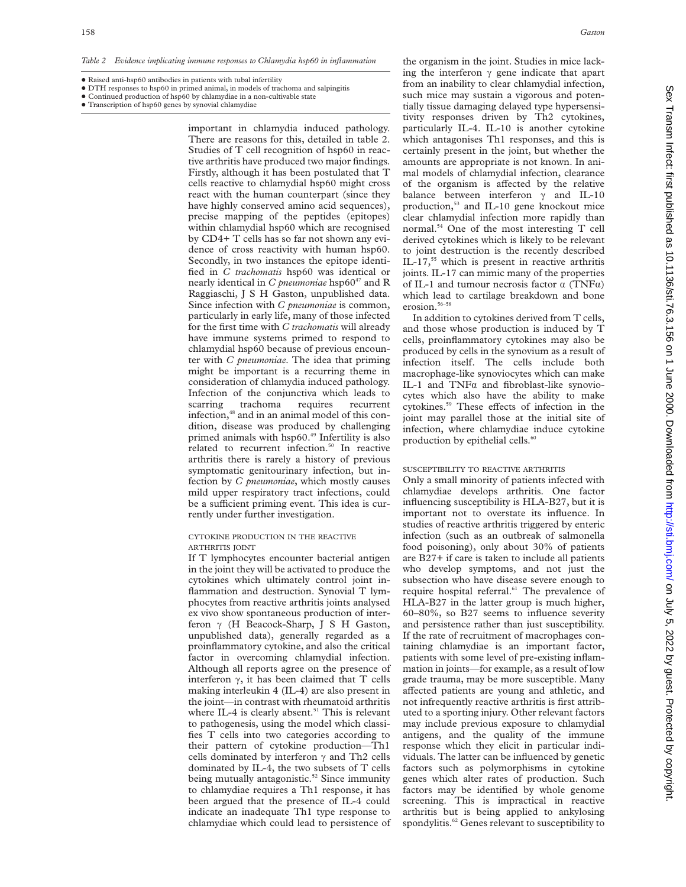$\bullet$  DTH responses to hsp60 in primed animal, in models of trachoma and salpingitis + Continued production of hsp60 by chlamydiae in a non-cultivable state

+ Transcription of hsp60 genes by synovial chlamydiae

important in chlamydia induced pathology. There are reasons for this, detailed in table 2. Studies of T cell recognition of hsp60 in reactive arthritis have produced two major findings. Firstly, although it has been postulated that T cells reactive to chlamydial hsp60 might cross react with the human counterpart (since they have highly conserved amino acid sequences), precise mapping of the peptides (epitopes) within chlamydial hsp60 which are recognised by CD4+ T cells has so far not shown any evidence of cross reactivity with human hsp60. Secondly, in two instances the epitope identified in *C trachomatis* hsp60 was identical or nearly identical in *C pneumoniae* hsp60<sup>47</sup> and R Raggiaschi, J S H Gaston, unpublished data. Since infection with *C pneumoniae* is common, particularly in early life, many of those infected for the first time with *C trachomatis* will already have immune systems primed to respond to chlamydial hsp60 because of previous encounter with *C pneumoniae*. The idea that priming might be important is a recurring theme in consideration of chlamydia induced pathology. Infection of the conjunctiva which leads to scarring trachoma requires recurrent infection,<sup>48</sup> and in an animal model of this condition, disease was produced by challenging primed animals with hsp60.49 Infertility is also related to recurrent infection.<sup>50</sup> In reactive arthritis there is rarely a history of previous symptomatic genitourinary infection, but infection by *C pneumoniae*, which mostly causes mild upper respiratory tract infections, could be a sufficient priming event. This idea is currently under further investigation.

### CYTOKINE PRODUCTION IN THE REACTIVE ARTHRITIS JOINT

If T lymphocytes encounter bacterial antigen in the joint they will be activated to produce the cytokines which ultimately control joint inflammation and destruction. Synovial T lymphocytes from reactive arthritis joints analysed ex vivo show spontaneous production of interferon  $\gamma$  (H Beacock-Sharp, J S H Gaston, unpublished data), generally regarded as a proinflammatory cytokine, and also the critical factor in overcoming chlamydial infection. Although all reports agree on the presence of interferon  $\gamma$ , it has been claimed that T cells making interleukin 4 (IL-4) are also present in the joint—in contrast with rheumatoid arthritis where IL-4 is clearly absent.<sup>51</sup> This is relevant to pathogenesis, using the model which classifies T cells into two categories according to their pattern of cytokine production—Th1 cells dominated by interferon  $\gamma$  and Th2 cells dominated by IL-4, the two subsets of T cells being mutually antagonistic.<sup>52</sup> Since immunity to chlamydiae requires a Th1 response, it has been argued that the presence of IL-4 could indicate an inadequate Th1 type response to chlamydiae which could lead to persistence of

the organism in the joint. Studies in mice lacking the interferon  $\gamma$  gene indicate that apart from an inability to clear chlamydial infection, such mice may sustain a vigorous and potentially tissue damaging delayed type hypersensitivity responses driven by Th2 cytokines, particularly IL-4. IL-10 is another cytokine which antagonises Th1 responses, and this is certainly present in the joint, but whether the amounts are appropriate is not known. In animal models of chlamydial infection, clearance of the organism is affected by the relative balance between interferon  $\gamma$  and IL-10 production,<sup>53</sup> and IL-10 gene knockout mice clear chlamydial infection more rapidly than normal.54 One of the most interesting T cell derived cytokines which is likely to be relevant to joint destruction is the recently described IL-17,<sup>55</sup> which is present in reactive arthritis joints. IL-17 can mimic many of the properties of IL-1 and tumour necrosis factor  $\alpha$  (TNF $\alpha$ ) which lead to cartilage breakdown and bone erosion.<sup>56-5</sup>

In addition to cytokines derived from T cells, and those whose production is induced by T cells, proinflammatory cytokines may also be produced by cells in the synovium as a result of infection itself. The cells include both macrophage-like synoviocytes which can make IL-1 and  $TNF\alpha$  and fibroblast-like synoviocytes which also have the ability to make cytokines.<sup>59</sup> These effects of infection in the joint may parallel those at the initial site of infection, where chlamydiae induce cytokine production by epithelial cells.<sup>60</sup>

#### SUSCEPTIBILITY TO REACTIVE ARTHRITIS

Only a small minority of patients infected with chlamydiae develops arthritis. One factor influencing susceptibility is HLA-B27, but it is important not to overstate its influence. In studies of reactive arthritis triggered by enteric infection (such as an outbreak of salmonella food poisoning), only about 30% of patients are B27+ if care is taken to include all patients who develop symptoms, and not just the subsection who have disease severe enough to require hospital referral.<sup>61</sup> The prevalence of HLA-B27 in the latter group is much higher, 60–80%, so B27 seems to influence severity and persistence rather than just susceptibility. If the rate of recruitment of macrophages containing chlamydiae is an important factor, patients with some level of pre-existing inflammation in joints—for example, as a result of low grade trauma, may be more susceptible. Many affected patients are young and athletic, and not infrequently reactive arthritis is first attributed to a sporting injury. Other relevant factors may include previous exposure to chlamydial antigens, and the quality of the immune response which they elicit in particular individuals. The latter can be influenced by genetic factors such as polymorphisms in cytokine genes which alter rates of production. Such factors may be identified by whole genome screening. This is impractical in reactive arthritis but is being applied to ankylosing spondylitis.<sup>62</sup> Genes relevant to susceptibility to

<sup>+</sup> Raised anti-hsp60 antibodies in patients with tubal infertility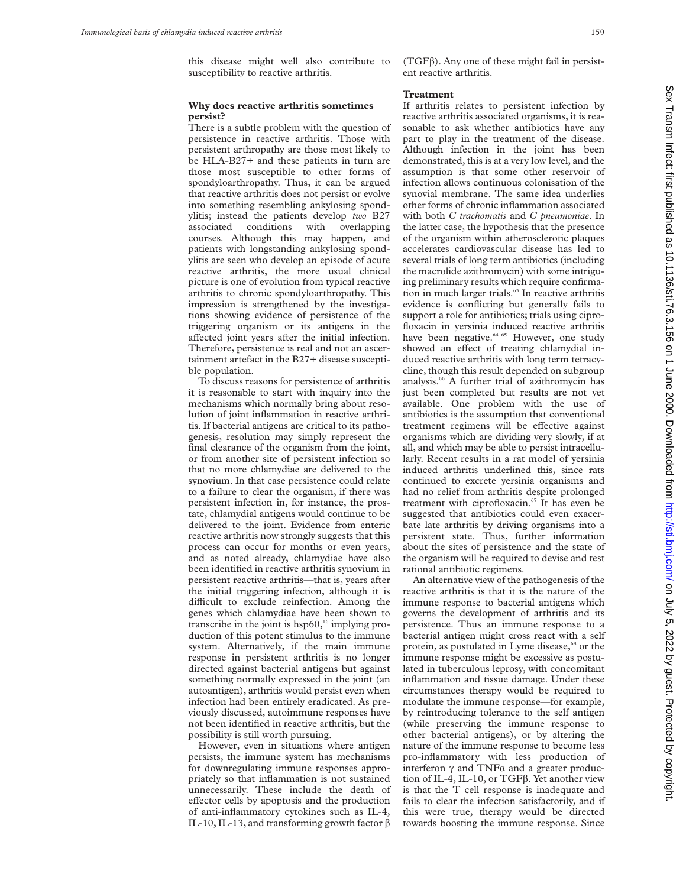#### **Why does reactive arthritis sometimes persist?**

There is a subtle problem with the question of persistence in reactive arthritis. Those with persistent arthropathy are those most likely to be HLA-B27+ and these patients in turn are those most susceptible to other forms of spondyloarthropathy. Thus, it can be argued that reactive arthritis does not persist or evolve into something resembling ankylosing spondylitis; instead the patients develop *two* B27 associated conditions with overlapping courses. Although this may happen, and patients with longstanding ankylosing spondylitis are seen who develop an episode of acute reactive arthritis, the more usual clinical picture is one of evolution from typical reactive arthritis to chronic spondyloarthropathy. This impression is strengthened by the investigations showing evidence of persistence of the triggering organism or its antigens in the affected joint years after the initial infection. Therefore, persistence is real and not an ascertainment artefact in the B27+ disease susceptible population.

To discuss reasons for persistence of arthritis it is reasonable to start with inquiry into the mechanisms which normally bring about resolution of joint inflammation in reactive arthritis. If bacterial antigens are critical to its pathogenesis, resolution may simply represent the final clearance of the organism from the joint, or from another site of persistent infection so that no more chlamydiae are delivered to the synovium. In that case persistence could relate to a failure to clear the organism, if there was persistent infection in, for instance, the prostate, chlamydial antigens would continue to be delivered to the joint. Evidence from enteric reactive arthritis now strongly suggests that this process can occur for months or even years, and as noted already, chlamydiae have also been identified in reactive arthritis synovium in persistent reactive arthritis—that is, years after the initial triggering infection, although it is difficult to exclude reinfection. Among the genes which chlamydiae have been shown to transcribe in the joint is hsp60, $16$  implying production of this potent stimulus to the immune system. Alternatively, if the main immune response in persistent arthritis is no longer directed against bacterial antigens but against something normally expressed in the joint (an autoantigen), arthritis would persist even when infection had been entirely eradicated. As previously discussed, autoimmune responses have not been identified in reactive arthritis, but the possibility is still worth pursuing.

However, even in situations where antigen persists, the immune system has mechanisms for downregulating immune responses appropriately so that inflammation is not sustained unnecessarily. These include the death of effector cells by apoptosis and the production of anti-inflammatory cytokines such as IL-4, IL-10, IL-13, and transforming growth factor  $\beta$ 

 $(TGF\beta)$ . Any one of these might fail in persistent reactive arthritis.

#### **Treatment**

If arthritis relates to persistent infection by reactive arthritis associated organisms, it is reasonable to ask whether antibiotics have any part to play in the treatment of the disease. Although infection in the joint has been demonstrated, this is at a very low level, and the assumption is that some other reservoir of infection allows continuous colonisation of the synovial membrane. The same idea underlies other forms of chronic inflammation associated with both *C trachomatis* and *C pneumoniae*. In the latter case, the hypothesis that the presence of the organism within atherosclerotic plaques accelerates cardiovascular disease has led to several trials of long term antibiotics (including the macrolide azithromycin) with some intriguing preliminary results which require confirmation in much larger trials.<sup>63</sup> In reactive arthritis evidence is conflicting but generally fails to support a role for antibiotics; trials using ciprofloxacin in yersinia induced reactive arthritis have been negative.<sup>64 65</sup> However, one study showed an effect of treating chlamydial induced reactive arthritis with long term tetracycline, though this result depended on subgroup analysis.66 A further trial of azithromycin has just been completed but results are not yet available. One problem with the use of antibiotics is the assumption that conventional treatment regimens will be effective against organisms which are dividing very slowly, if at all, and which may be able to persist intracellularly. Recent results in a rat model of yersinia induced arthritis underlined this, since rats continued to excrete yersinia organisms and had no relief from arthritis despite prolonged treatment with ciprofloxacin.67 It has even be suggested that antibiotics could even exacerbate late arthritis by driving organisms into a persistent state. Thus, further information about the sites of persistence and the state of the organism will be required to devise and test rational antibiotic regimens.

An alternative view of the pathogenesis of the reactive arthritis is that it is the nature of the immune response to bacterial antigens which governs the development of arthritis and its persistence. Thus an immune response to a bacterial antigen might cross react with a self protein, as postulated in Lyme disease,<sup>68</sup> or the immune response might be excessive as postulated in tuberculous leprosy, with concomitant inflammation and tissue damage. Under these circumstances therapy would be required to modulate the immune response—for example, by reintroducing tolerance to the self antigen (while preserving the immune response to other bacterial antigens), or by altering the nature of the immune response to become less pro-inflammatory with less production of interferon  $\gamma$  and TNF $\alpha$  and a greater production of IL-4, IL-10, or TGF $\beta$ . Yet another view is that the T cell response is inadequate and fails to clear the infection satisfactorily, and if this were true, therapy would be directed towards boosting the immune response. Since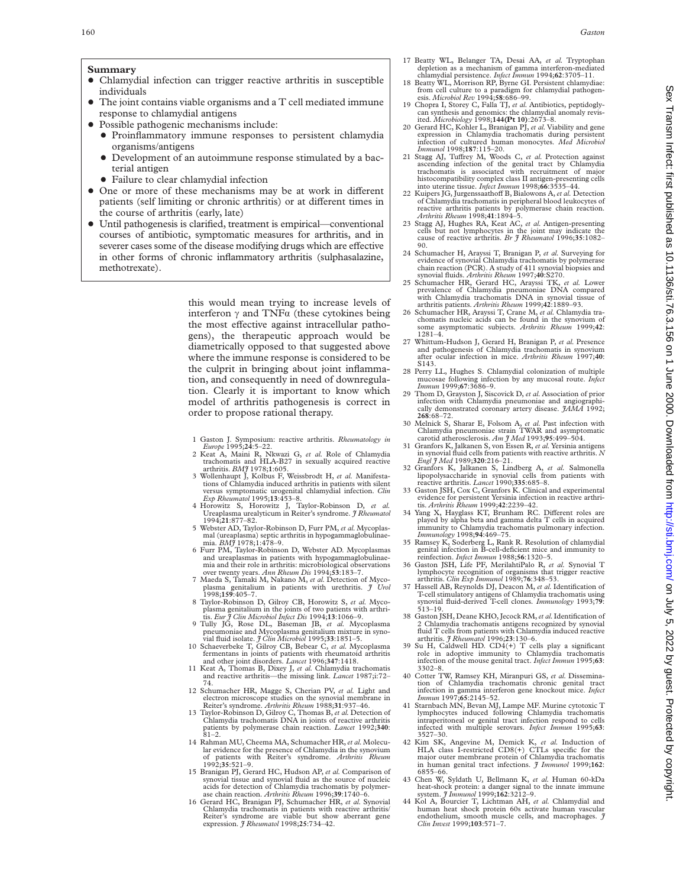## **Summary**

- + Chlamydial infection can trigger reactive arthritis in susceptible individuals
- $\bullet$  The joint contains viable organisms and a T cell mediated immune response to chlamydial antigens
- Possible pathogenic mechanisms include:
	- + Proinflammatory immune responses to persistent chlamydia organisms/antigens
	- + Development of an autoimmune response stimulated by a bacterial antigen
	- + Failure to clear chlamydial infection
- One or more of these mechanisms may be at work in different patients (self limiting or chronic arthritis) or at different times in the course of arthritis (early, late)
- Until pathogenesis is clarified, treatment is empirical—conventional courses of antibiotic, symptomatic measures for arthritis, and in severer cases some of the disease modifying drugs which are effective in other forms of chronic inflammatory arthritis (sulphasalazine, methotrexate).

this would mean trying to increase levels of interferon  $\gamma$  and TNF $\alpha$  (these cytokines being the most effective against intracellular pathogens), the therapeutic approach would be diametrically opposed to that suggested above where the immune response is considered to be the culprit in bringing about joint inflammation, and consequently in need of downregulation. Clearly it is important to know which model of arthritis pathogenesis is correct in order to propose rational therapy.

- 1 Gaston J. Symposium: reactive arthritis. *Rheumatology in Europe* 1995;**24**:5–22.
- 2 Keat A, Maini R, Nkwazi G, *et al.* Role of Chlamydia trachomatis and HLA-B27 in sexually acquired reactive arthritis. *BMJ* 1978;**1**:605. 3 Wollenhaupt J, Kolbus F, Weissbrodt H, *et al.* Manifesta-
- tions of Chlamydia induced arthritis in patients with silent versus symptomatic urogenital chlamydial infection. *Clin Exp Rheumatol* 1995;**13**:453–8. 4 Horowitz S, Horowitz J, Taylor-Robinson D, *et al.*
- Ureaplasma urealyticum in Reiter's syndrome. *J Rheumatol* 1994;**21**:877–82.
- 5 Webster AD, Taylor-Robinson D, Furr PM, *et al.*Mycoplas-mal (ureaplasma) septic arthritis in hypogammaglobulinae-mia. *BMJ* 1978;1:478–9.
- 6 Furr PM, Taylor-Robinson D, Webster AD. Mycoplasmas and ureaplasmas in patients with hypogammaglobulinaemia and their role in arthritis: microbiological observations over twenty years. *Ann Rheum Dis* 1994;**53**:183–7.
- 7 Maeda S, Tamaki M, Nakano M, *et al.* Detection of Mycoplasma genitalium in patients with urethritis. *J Urol* 1998;**159**:405–7.
- 8 Taylor-Robinson D, Gilroy CB, Horowitz S, *et al.* Myco-plasma genitalium in the joints of two patients with arthri-
- tis. *Eur J Clin Microbiol Infect Dis* 1994;**13**:1066–9. 9 Tully JG, Rose DL, Baseman JB, *et al.* Mycoplasma pneumoniae and Mycoplasma genitalium mixture in syno-<br>vial fluid isolate:  $\mathcal{J} Clin$  Microbiol 1995;33:1851–5.<br>10 Schaeverbeke T, Gilroy CB, Bebear C, et al. Mycoplasma<br>fermentans in joints of patients with rheumatoid art
- and other joint disorders. *Lancet* 1996;**347**:1418.
- 11 Keat A, Thomas B, Dixey J, *et al.* Chlamydia trachomatis and reactive arthritis—the missing link. *Lancet* 1987;i:72– 74.
- 12 Schumacher HR, Magge S, Cherian PV, *et al.* Light and electron microscope studies on the synovial membrane in
- Reiter's syndrome. *Arthritis Rheum* 1988;**31**:937–46.<br>13 Taylor-Robinson D, Gilroy C, Thomas B, *et al*. Detection of<br>Chlamydia trachomatis DNA in joints of reactive arthritis patients by polymerase chain reaction. *Lancet* 1992;**340**: 81–2.
- 14 Rahman MU, Cheema MA, Schumacher HR,*et al.*Molecular evidence for the presence of Chlamydia in the synovium of patients with Reiter's syndrome. *Arthritis Rheum* 1992;**35**:521–9.
- 15 Branigan PJ, Gerard HC, Hudson AP, *et al.* Comparison of synovial tissue and synovial fluid as the source of nucleic<br>acids for detection of Chlamydia trachomatis by polymer-<br>ase chain reaction. *Arthritis Rheum* 1996;39:1740-6.<br>16 Gerard HC, Branigan PJ, Schumacher HR, *et al.*
- Chlamydia trachomatis in patients with reactive arthritis/ Reiter's syndrome are viable but show aberrant gene expression. *J Rheumatol* 1998;**25**:734–42.
- 17 Beatty WL, Belanger TA, Desai AA, *et al.* Tryptophan depletion as a mechanism of gamma interferon-mediated chlamydial persistence. *Infect Immun* 1994;**62**:3705–11.
- 18 Beatty WL, Morrison RP, Byrne GI. Persistent chlamydiae: from cell culture to a paradigm for chlamydial pathogen-esis. *Microbiol Rev* 1994;**58**:686–99.
- 19 Chopra I, Storey C, Falla TJ, *et al.* Antibiotics, peptidogly-can synthesis and genomics: the chlamydial anomaly revis-
- ited. *Microbiology* 1998;**144(Pt 10)**:2673–8. 20 Gerard HC, Kohler L, Branigan PJ, *et al.* Viability and gene expression in Chlamydia trachomatis during persistent infection of cultured human monocytes. *Med Microbiol Immunol* 1998;**187**:115–20.
- 21 Stagg AJ, Tuffrey M, Woods C, *et al.* Protection against ascending infection of the genital tract by Chlamydia trachomatis is associated with recruitment of major histocompatibility complex class II antigen-presenting cells into uterine tissue. *Infect Immun* 1998;**66**:3535–44.
- 22 Kuipers JG, Jurgenssaathoff B, Bialowons A, et al. Detection of Chlamydia trachomatis in peripheral blood leukocytes of reactive arthritis patients by polymerase chain reaction. *Arthritis Rheum* 1998;**41**:1894–5.
- 23 Stagg AJ, Hughes RA, Keat AC, *et al.* Antigen-presenting cells but not lymphocytes in the joint may indicate the cause of reactive arthritis. *Br J Rheumatol* 1996;**35**:1082– 90.
- 24 Schumacher H, Arayssi T, Branigan P, *et al.* Surveying for evidence of synovial Chlamydia trachomatis by polymerase chain reaction (PCR). A study of 411 synovial biopsies and synovial fluids. *Arthritis Rheum* 1997;**40**:S270.
- 25 Schumacher HR, Gerard HC, Arayssi TK, et al. Lower<br>prevalence of Chlamydia pneumoniae DNA compared<br>with Chlamydia trachomatis DNA in synovial tissue of<br>arthritis patients. Arthritis Rheum 1999;42:1889-93.
- 26 Schumacher HR, Arayssi T, Crane M, *et al.* Chlamydia trachomatis nucleic acids can be found in the synovium of some asymptomatic subjects. *Arthritis Rheum* 1999;**42**: 1281–4.
- 27 Whittum-Hudson J, Gerard H, Branigan P, *et al.* Presence and pathogenesis of Chlamydia trachomatis in synovium after ocular infection in mice. *Arthritis Rheum* 1997;**40**: S143.
- 28 Perry LL, Hughes S. Chlamydial colonization of multiple mucosae following infection by any mucosal route. *Infect Immun* 1999;**67**:3686–9.
- 29 Thom D, Grayston J, Siscovick D, *et al.* Association of prior infection with Chlamydia pneumoniae and angiographi-cally demonstrated coronary artery disease. *JAMA* 1992; **<sup>268</sup>**:68–72.
- 30 Melnick S, Sharar E, Folsom A, *et al.* Past infection with Chlamydia pneumoniae strain TWAR and asymptomatic carotid atherosclerosis. *Am J Med* 1993;**95**:499–504. 31 Granfors K, Jalkanen S, von Essen R, *et al.* Yersinia antigens
- in synovial fluid cells from patients with reactive arthritis. *N Engl J Med* 1989;**320**:216–21.
- 32 Granfors K, Jalkanen S, Lindberg A, *et al.* Salmonella lipopolysaccharide in synovial cells from patients with reactive arthritis. *Lancet* 1990;**335**:685–8.
- 33 Gaston JSH, Cox C, Granfors K. Clinical and experimental evidence for persistent Yersinia infection in reactive arthri-tis. *Arthritis Rheum* 1999;**42**:2239–42.
- 15. Artificial Schedun 1999, 42.2239-42.<br>34 Yang X, Hayglass KT, Brunham RC. Different roles are played by alpha beta and gamma delta T cells in acquired immunity to Chlamydia trachomatis pulmonary infection. *Immunology* 1998;**94**:469–75.
- 35 Ramsey K, Soderberg L, Rank R. Resolution of chlamydial genital infection in B-cell-deficient mice and immunity to reinfection. *Infect Immun* 1988;**56**:1320–5.
- 36 Gaston JSH, Life PF, MerilahtiPalo R, *et al.* Synovial T lymphocyte recognition of organisms that trigger reactive arthritis. *Clin Exp Immunol* 1989;**76**:348–53.
- 37 Hassell AB, Reynolds DJ, Deacon M, *et al.* Identification of T-cell stimulatory antigens of Chlamydia trachomatis using synovial fluid-derived T-cell clones. *Immunology* 1993;**79**: 513–19.
- 38 Gaston JSH, Deane KHO, Jecock RM,*et al.*Identification of 2 Chlamydia trachomatis antigens recognized by synovial fluid T cells from patients with Chlamydia induced reactive arthritis. *J Rheumatol* 1996;**23**:130–6.
- 39 Su H, Caldwell HD. CD4(+) T cells play a significant role in adoptive immunity to Chlamydia trachomatis infection of the mouse genital tract. *Infect Immun* 1995;**63**: 3302–8.
- 40 Cotter TW, Ramsey KH, Miranpuri GS, *et al.* Dissemina-tion of Chlamydia trachomatis chronic genital tract infection in gamma interferon gene knockout mice. *Infect Immun* 1997;**65**:2145–52.
- 41 Starnbach MN, Bevan MJ, Lampe MF. Murine cytotoxic T lymphocytes induced following Chlamydia trachomatis intraperitoneal or genital tract infection respond to cells infected with multiple serovars. *Infect Immun* 1995;**63**: 3527–30.
- 42 Kim SK, Angevine M, Demick K, *et al.* Induction of HLA class I-restricted CD8(+) CTLs specific for the major outer membrane protein of Chlamydia trachomatis in human genital tract infections. *J Immunol* 1999;**162**: 6855–66.
- 43 Chen W, Syldath U, Bellmann K, *et al.* Human 60-kDa heat-shock protein: a danger signal to the innate immune<br>system. *J Immunol* 1999;**16**2:3212–9.<br>44 Kol A, Bourcier T, Lichtman AH, *et al.* Chlamydial and
- human heat shock protein 60s activate human vascular endothelium, smooth muscle cells, and macrophages. *J Clin Invest* 1999;**103**:571–7.